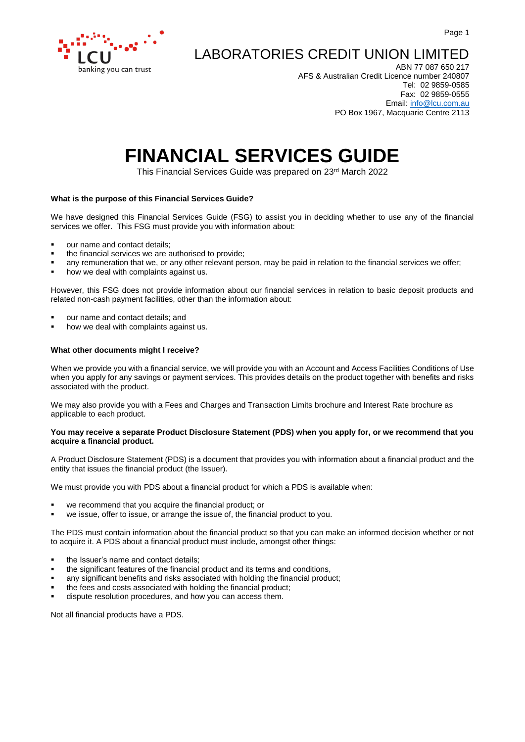

# LABORATORIES CREDIT UNION LIMITED

ABN 77 087 650 217 AFS & Australian Credit Licence number 240807 Tel: 02 9859-0585 Fax: 02 9859-0555 Email: [info@lcu.com.au](mailto:info@lcu.com.au) PO Box 1967, Macquarie Centre 2113

# **FINANCIAL SERVICES GUIDE**

This Financial Services Guide was prepared on 23rd March 2022

# **What is the purpose of this Financial Services Guide?**

We have designed this Financial Services Guide (FSG) to assist you in deciding whether to use any of the financial services we offer. This FSG must provide you with information about:

- our name and contact details:
- the financial services we are authorised to provide;
- any remuneration that we, or any other relevant person, may be paid in relation to the financial services we offer;
- how we deal with complaints against us.

However, this FSG does not provide information about our financial services in relation to basic deposit products and related non-cash payment facilities, other than the information about:

- our name and contact details; and
- how we deal with complaints against us.

# **What other documents might I receive?**

When we provide you with a financial service, we will provide you with an Account and Access Facilities Conditions of Use when you apply for any savings or payment services. This provides details on the product together with benefits and risks associated with the product.

We may also provide you with a Fees and Charges and Transaction Limits brochure and Interest Rate brochure as applicable to each product.

# **You may receive a separate Product Disclosure Statement (PDS) when you apply for, or we recommend that you acquire a financial product.**

A Product Disclosure Statement (PDS) is a document that provides you with information about a financial product and the entity that issues the financial product (the Issuer).

We must provide you with PDS about a financial product for which a PDS is available when:

- we recommend that you acquire the financial product; or
- we issue, offer to issue, or arrange the issue of, the financial product to you.

The PDS must contain information about the financial product so that you can make an informed decision whether or not to acquire it. A PDS about a financial product must include, amongst other things:

- the Issuer's name and contact details;
- the significant features of the financial product and its terms and conditions,
- any significant benefits and risks associated with holding the financial product;
- the fees and costs associated with holding the financial product;
- dispute resolution procedures, and how you can access them.

Not all financial products have a PDS.